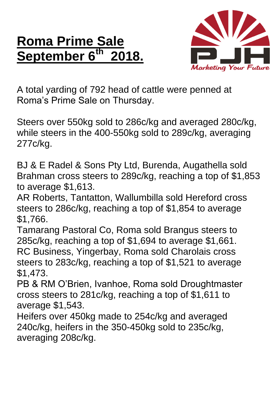## **Roma Prime Sale September 6 th 2018.**



A total yarding of 792 head of cattle were penned at Roma's Prime Sale on Thursday.

Steers over 550kg sold to 286c/kg and averaged 280c/kg, while steers in the 400-550kg sold to 289c/kg, averaging 277c/kg.

BJ & E Radel & Sons Pty Ltd, Burenda, Augathella sold Brahman cross steers to 289c/kg, reaching a top of \$1,853 to average \$1,613.

AR Roberts, Tantatton, Wallumbilla sold Hereford cross steers to 286c/kg, reaching a top of \$1,854 to average \$1,766.

Tamarang Pastoral Co, Roma sold Brangus steers to 285c/kg, reaching a top of \$1,694 to average \$1,661. RC Business, Yingerbay, Roma sold Charolais cross steers to 283c/kg, reaching a top of \$1,521 to average \$1,473.

PB & RM O'Brien, Ivanhoe, Roma sold Droughtmaster cross steers to 281c/kg, reaching a top of \$1,611 to average \$1,543.

Heifers over 450kg made to 254c/kg and averaged 240c/kg, heifers in the 350-450kg sold to 235c/kg, averaging 208c/kg.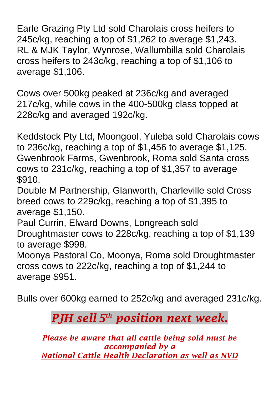Earle Grazing Pty Ltd sold Charolais cross heifers to 245c/kg, reaching a top of \$1,262 to average \$1,243. RL & MJK Taylor, Wynrose, Wallumbilla sold Charolais cross heifers to 243c/kg, reaching a top of \$1,106 to average \$1,106.

Cows over 500kg peaked at 236c/kg and averaged 217c/kg, while cows in the 400-500kg class topped at 228c/kg and averaged 192c/kg.

Keddstock Pty Ltd, Moongool, Yuleba sold Charolais cows to 236c/kg, reaching a top of \$1,456 to average \$1,125. Gwenbrook Farms, Gwenbrook, Roma sold Santa cross cows to 231c/kg, reaching a top of \$1,357 to average \$910.

Double M Partnership, Glanworth, Charleville sold Cross breed cows to 229c/kg, reaching a top of \$1,395 to average \$1,150.

Paul Currin, Elward Downs, Longreach sold Droughtmaster cows to 228c/kg, reaching a top of \$1,139 to average \$998.

Moonya Pastoral Co, Moonya, Roma sold Droughtmaster cross cows to 222c/kg, reaching a top of \$1,244 to average \$951.

Bulls over 600kg earned to 252c/kg and averaged 231c/kg.

## *PJH sell 5 th position next week.*

*Please be aware that all cattle being sold must be accompanied by a National Cattle Health Declaration as well as NVD*